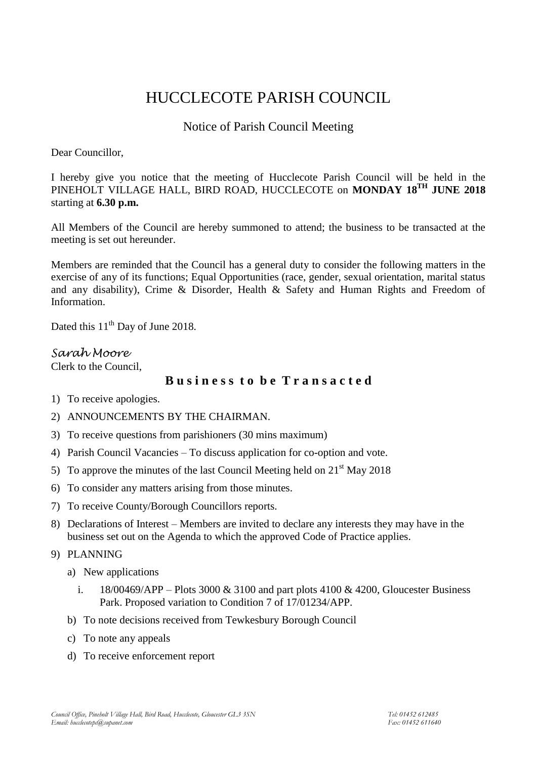# HUCCLECOTE PARISH COUNCIL

# Notice of Parish Council Meeting

Dear Councillor,

I hereby give you notice that the meeting of Hucclecote Parish Council will be held in the PINEHOLT VILLAGE HALL, BIRD ROAD, HUCCLECOTE on **MONDAY 18TH JUNE 2018** starting at **6.30 p.m.**

All Members of the Council are hereby summoned to attend; the business to be transacted at the meeting is set out hereunder.

Members are reminded that the Council has a general duty to consider the following matters in the exercise of any of its functions; Equal Opportunities (race, gender, sexual orientation, marital status and any disability), Crime & Disorder, Health & Safety and Human Rights and Freedom of Information.

Dated this  $11<sup>th</sup>$  Day of June 2018.

## *Sarah Moore*

Clerk to the Council,

# **B u s i n e s s t o b e T r a n s a c t e d**

- 1) To receive apologies.
- 2) ANNOUNCEMENTS BY THE CHAIRMAN.
- 3) To receive questions from parishioners (30 mins maximum)
- 4) Parish Council Vacancies To discuss application for co-option and vote.
- 5) To approve the minutes of the last Council Meeting held on  $21<sup>st</sup>$  May 2018
- 6) To consider any matters arising from those minutes.
- 7) To receive County/Borough Councillors reports.
- 8) Declarations of Interest Members are invited to declare any interests they may have in the business set out on the Agenda to which the approved Code of Practice applies.
- 9) PLANNING
	- a) New applications
		- i.  $18/00469/APP Plots 3000 & 3100$  and part plots 4100 & 4200, Gloucester Business Park. Proposed variation to Condition 7 of 17/01234/APP.
	- b) To note decisions received from Tewkesbury Borough Council
	- c) To note any appeals
	- d) To receive enforcement report